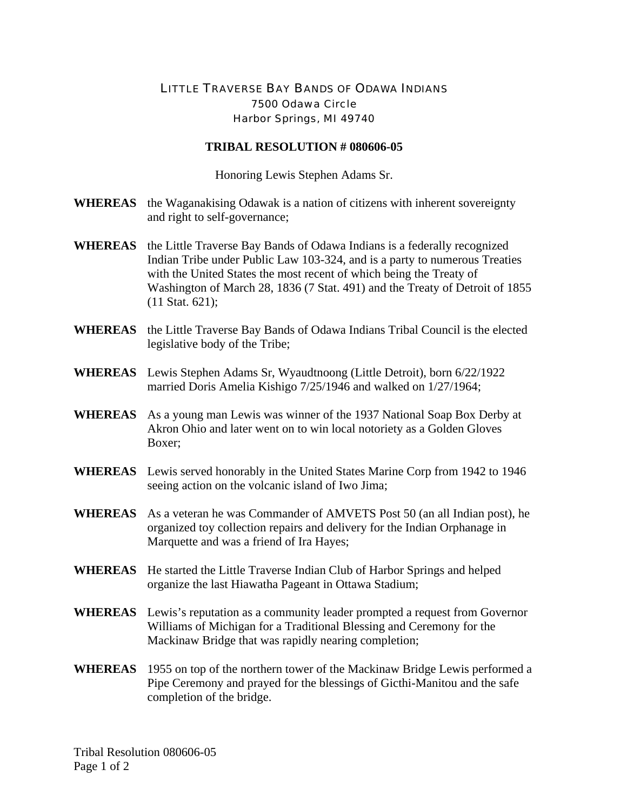## LITTLE TRAVERSE BAY BANDS OF ODAWA INDIANS 7500 Odawa Circle Harbor Springs, MI 49740

## **TRIBAL RESOLUTION # 080606-05**

Honoring Lewis Stephen Adams Sr.

- **WHEREAS** the Waganakising Odawak is a nation of citizens with inherent sovereignty and right to self-governance;
- **WHEREAS** the Little Traverse Bay Bands of Odawa Indians is a federally recognized Indian Tribe under Public Law 103-324, and is a party to numerous Treaties with the United States the most recent of which being the Treaty of Washington of March 28, 1836 (7 Stat. 491) and the Treaty of Detroit of 1855 (11 Stat. 621);
- **WHEREAS** the Little Traverse Bay Bands of Odawa Indians Tribal Council is the elected legislative body of the Tribe;
- **WHEREAS** Lewis Stephen Adams Sr, Wyaudtnoong (Little Detroit), born 6/22/1922 married Doris Amelia Kishigo 7/25/1946 and walked on 1/27/1964;
- **WHEREAS** As a young man Lewis was winner of the 1937 National Soap Box Derby at Akron Ohio and later went on to win local notoriety as a Golden Gloves Boxer;
- **WHEREAS** Lewis served honorably in the United States Marine Corp from 1942 to 1946 seeing action on the volcanic island of Iwo Jima;
- **WHEREAS** As a veteran he was Commander of AMVETS Post 50 (an all Indian post), he organized toy collection repairs and delivery for the Indian Orphanage in Marquette and was a friend of Ira Hayes;
- **WHEREAS** He started the Little Traverse Indian Club of Harbor Springs and helped organize the last Hiawatha Pageant in Ottawa Stadium;
- **WHEREAS** Lewis's reputation as a community leader prompted a request from Governor Williams of Michigan for a Traditional Blessing and Ceremony for the Mackinaw Bridge that was rapidly nearing completion;
- **WHEREAS** 1955 on top of the northern tower of the Mackinaw Bridge Lewis performed a Pipe Ceremony and prayed for the blessings of Gicthi-Manitou and the safe completion of the bridge.